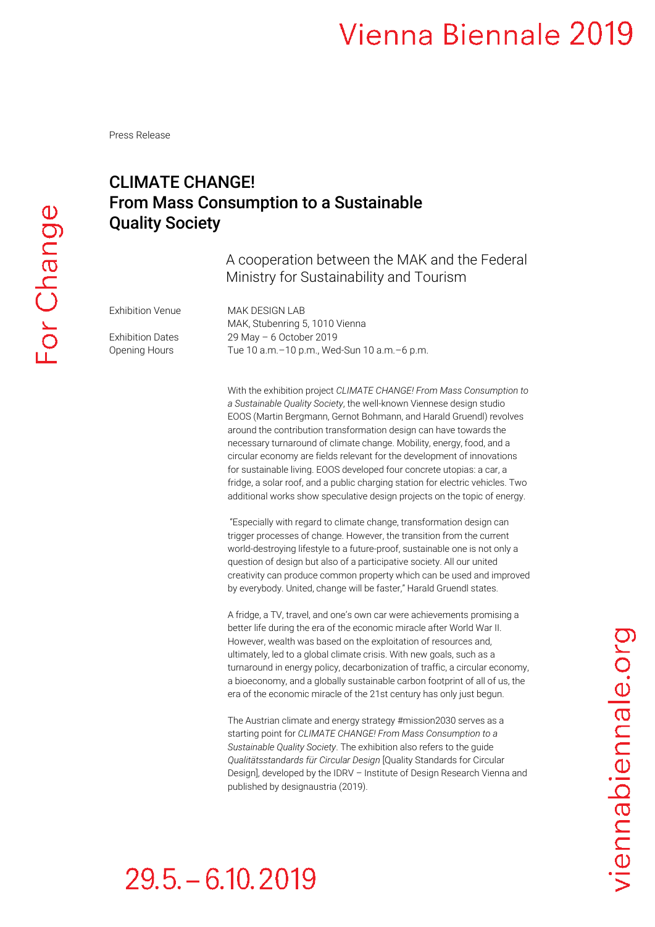Press Release

## CLIMATE CHANGE! From Mass Consumption to a Sustainable Quality Society

A cooperation between the MAK and the Federal Ministry for Sustainability and Tourism

Exhibition Venue MAK DESIGN LAB

MAK, Stubenring 5, 1010 Vienna Exhibition Dates 29 May - 6 October 2019 Opening Hours Tue 10 a.m.–10 p.m., Wed-Sun 10 a.m.–6 p.m.

> With the exhibition project *CLIMATE CHANGE! From Mass Consumption to a Sustainable Quality Society*, the well-known Viennese design studio EOOS (Martin Bergmann, Gernot Bohmann, and Harald Gruendl) revolves around the contribution transformation design can have towards the necessary turnaround of climate change. Mobility, energy, food, and a circular economy are fields relevant for the development of innovations for sustainable living. EOOS developed four concrete utopias: a car, a fridge, a solar roof, and a public charging station for electric vehicles. Two additional works show speculative design projects on the topic of energy.

> "Especially with regard to climate change, transformation design can trigger processes of change. However, the transition from the current world-destroying lifestyle to a future-proof, sustainable one is not only a question of design but also of a participative society. All our united creativity can produce common property which can be used and improved by everybody. United, change will be faster," Harald Gruendl states.

> A fridge, a TV, travel, and one's own car were achievements promising a better life during the era of the economic miracle after World War II. However, wealth was based on the exploitation of resources and, ultimately, led to a global climate crisis. With new goals, such as a turnaround in energy policy, decarbonization of traffic, a circular economy, a bioeconomy, and a globally sustainable carbon footprint of all of us, the era of the economic miracle of the 21st century has only just begun.

> The Austrian climate and energy strategy #mission2030 serves as a starting point for *CLIMATE CHANGE! From Mass Consumption to a Sustainable Quality Society*. The exhibition also refers to the guide *Qualitätsstandards für Circular Design* [Quality Standards for Circular Design], developed by the IDRV – Institute of Design Research Vienna and published by designaustria (2019).

# $29.5 - 6.10, 2019$

viennabiennale.org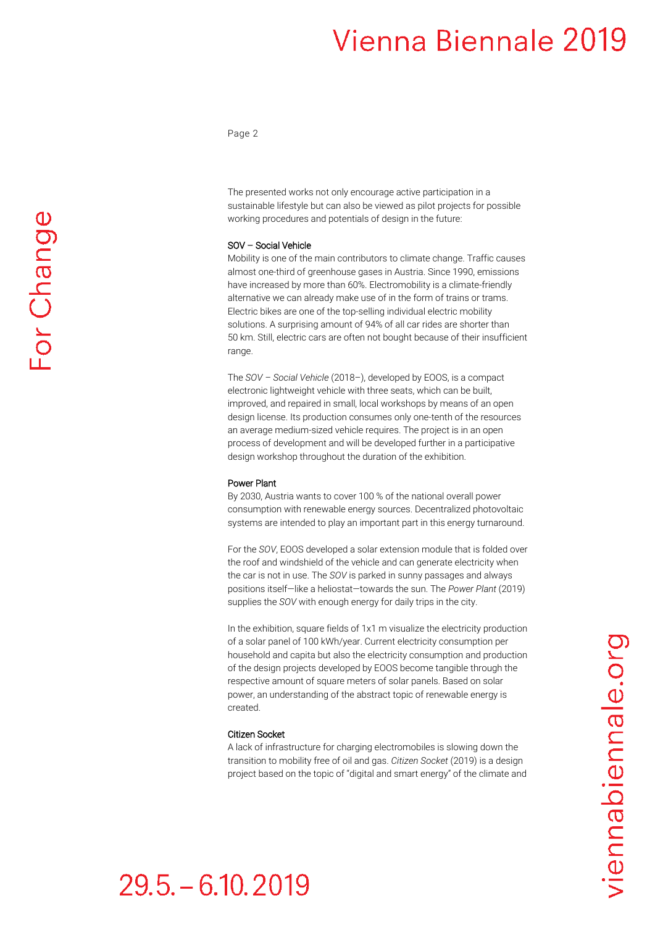Page 2

The presented works not only encourage active participation in a sustainable lifestyle but can also be viewed as pilot projects for possible working procedures and potentials of design in the future:

### SOV – Social Vehicle

Mobility is one of the main contributors to climate change. Traffic causes almost one-third of greenhouse gases in Austria. Since 1990, emissions have increased by more than 60%. Electromobility is a climate-friendly alternative we can already make use of in the form of trains or trams. Electric bikes are one of the top-selling individual electric mobility solutions. A surprising amount of 94% of all car rides are shorter than 50 km. Still, electric cars are often not bought because of their insufficient range.

The *SOV – Social Vehicle* (2018–), developed by EOOS, is a compact electronic lightweight vehicle with three seats, which can be built, improved, and repaired in small, local workshops by means of an open design license. Its production consumes only one-tenth of the resources an average medium-sized vehicle requires. The project is in an open process of development and will be developed further in a participative design workshop throughout the duration of the exhibition.

### Power Plant

By 2030, Austria wants to cover 100 % of the national overall power consumption with renewable energy sources. Decentralized photovoltaic systems are intended to play an important part in this energy turnaround.

For the *SOV*, EOOS developed a solar extension module that is folded over the roof and windshield of the vehicle and can generate electricity when the car is not in use. The *SOV* is parked in sunny passages and always positions itself—like a heliostat—towards the sun. The *Power Plant* (2019) supplies the *SOV* with enough energy for daily trips in the city.

In the exhibition, square fields of 1x1 m visualize the electricity production of a solar panel of 100 kWh/year. Current electricity consumption per household and capita but also the electricity consumption and production of the design projects developed by EOOS become tangible through the respective amount of square meters of solar panels. Based on solar power, an understanding of the abstract topic of renewable energy is created.

### Citizen Socket

A lack of infrastructure for charging electromobiles is slowing down the transition to mobility free of oil and gas. *Citizen Socket* (2019) is a design project based on the topic of "digital and smart energy" of the climate and

# viennabiennale.org

# $29.5 - 6.10.2019$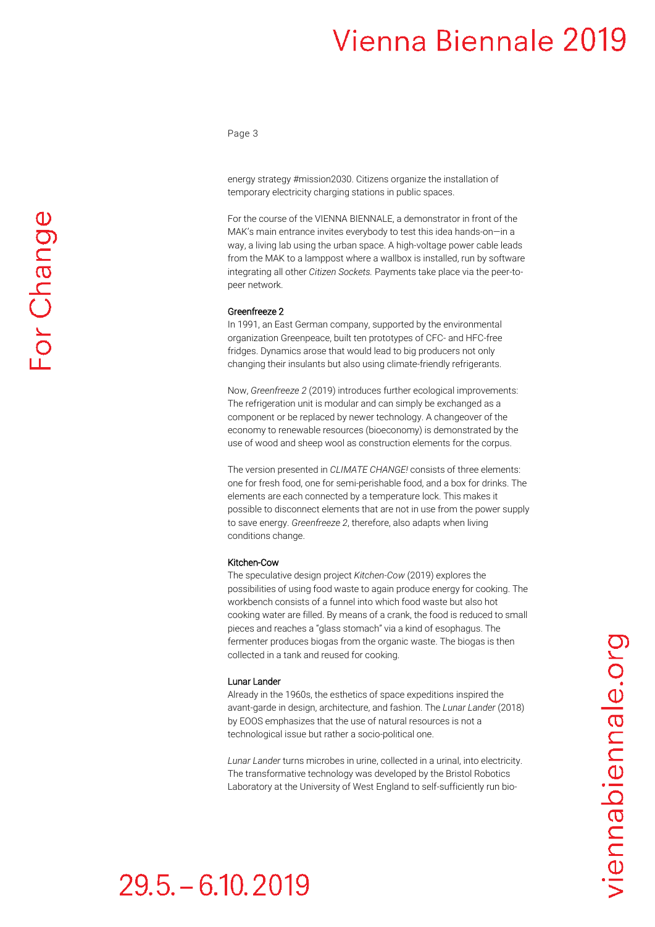Page 3

energy strategy #mission2030. Citizens organize the installation of temporary electricity charging stations in public spaces.

For the course of the VIENNA BIENNALE, a demonstrator in front of the MAK's main entrance invites everybody to test this idea hands-on—in a way, a living lab using the urban space. A high-voltage power cable leads from the MAK to a lamppost where a wallbox is installed, run by software integrating all other *Citizen Sockets.* Payments take place via the peer-topeer network.

### Greenfreeze 2

In 1991, an East German company, supported by the environmental organization Greenpeace, built ten prototypes of CFC- and HFC-free fridges. Dynamics arose that would lead to big producers not only changing their insulants but also using climate-friendly refrigerants.

Now, *Greenfreeze 2* (2019) introduces further ecological improvements: The refrigeration unit is modular and can simply be exchanged as a component or be replaced by newer technology. A changeover of the economy to renewable resources (bioeconomy) is demonstrated by the use of wood and sheep wool as construction elements for the corpus.

The version presented in *CLIMATE CHANGE!* consists of three elements: one for fresh food, one for semi-perishable food, and a box for drinks. The elements are each connected by a temperature lock. This makes it possible to disconnect elements that are not in use from the power supply to save energy. *Greenfreeze 2*, therefore, also adapts when living conditions change.

### Kitchen-Cow

The speculative design project *Kitchen-Cow* (2019) explores the possibilities of using food waste to again produce energy for cooking. The workbench consists of a funnel into which food waste but also hot cooking water are filled. By means of a crank, the food is reduced to small pieces and reaches a "glass stomach" via a kind of esophagus. The fermenter produces biogas from the organic waste. The biogas is then collected in a tank and reused for cooking.

### Lunar Lander

Already in the 1960s, the esthetics of space expeditions inspired the avant-garde in design, architecture, and fashion. The *Lunar Lander* (2018) by EOOS emphasizes that the use of natural resources is not a technological issue but rather a socio-political one.

*Lunar Lander* turns microbes in urine, collected in a urinal, into electricity. The transformative technology was developed by the Bristol Robotics Laboratory at the University of West England to self-sufficiently run bio-

# *iennabiennale.org*

# $29.5 - 6.10, 2019$